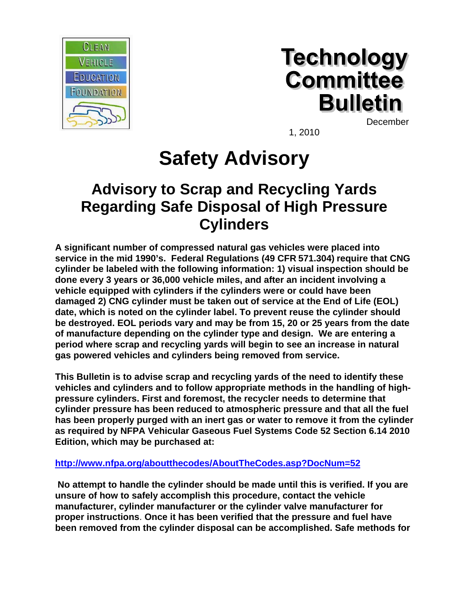

# **Technology Committee Bulletin**

December

1, 2010

## **Safety Advisory**

### **Advisory to Scrap and Recycling Yards Regarding Safe Disposal of High Pressure Cylinders**

**A significant number of compressed natural gas vehicles were placed into service in the mid 1990's. Federal Regulations (49 CFR 571.304) require that CNG cylinder be labeled with the following information: 1) visual inspection should be done every 3 years or 36,000 vehicle miles, and after an incident involving a vehicle equipped with cylinders if the cylinders were or could have been damaged 2) CNG cylinder must be taken out of service at the End of Life (EOL) date, which is noted on the cylinder label. To prevent reuse the cylinder should be destroyed. EOL periods vary and may be from 15, 20 or 25 years from the date of manufacture depending on the cylinder type and design. We are entering a period where scrap and recycling yards will begin to see an increase in natural gas powered vehicles and cylinders being removed from service.** 

**This Bulletin is to advise scrap and recycling yards of the need to identify these vehicles and cylinders and to follow appropriate methods in the handling of highpressure cylinders. First and foremost, the recycler needs to determine that cylinder pressure has been reduced to atmospheric pressure and that all the fuel has been properly purged with an inert gas or water to remove it from the cylinder as required by NFPA Vehicular Gaseous Fuel Systems Code 52 Section 6.14 2010 Edition, which may be purchased at:** 

### **<http://www.nfpa.org/aboutthecodes/AboutTheCodes.asp?DocNum=52>**

 **No attempt to handle the cylinder should be made until this is verified. If you are unsure of how to safely accomplish this procedure, contact the vehicle manufacturer, cylinder manufacturer or the cylinder valve manufacturer for proper instructions**. **Once it has been verified that the pressure and fuel have been removed from the cylinder disposal can be accomplished. Safe methods for**